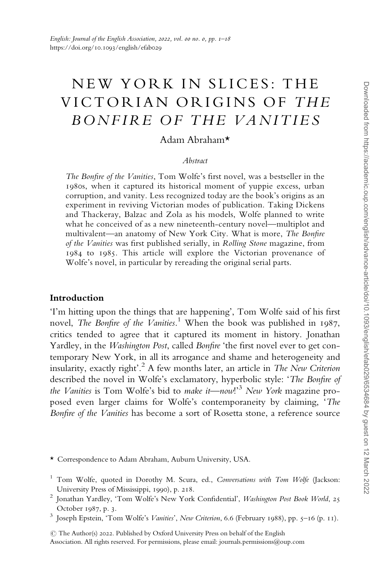# NEW YORK IN SLICES: THE VICTORIAN ORIGINS OF THE BONFIRE OF THE VANITIES

# Adam Abraham\*

### Abstract

The Bonfire of the Vanities, Tom Wolfe's first novel, was a bestseller in the 1980s, when it captured its historical moment of yuppie excess, urban corruption, and vanity. Less recognized today are the book's origins as an experiment in reviving Victorian modes of publication. Taking Dickens and Thackeray, Balzac and Zola as his models, Wolfe planned to write what he conceived of as a new nineteenth-century novel—multiplot and multivalent—an anatomy of New York City. What is more, The Bonfire of the Vanities was first published serially, in Rolling Stone magazine, from 1984 to 1985. This article will explore the Victorian provenance of Wolfe's novel, in particular by rereading the original serial parts.

## Introduction

'I'm hitting upon the things that are happening', Tom Wolfe said of his first novel, The Bonfire of the Vanities.<sup>1</sup> When the book was published in 1987, critics tended to agree that it captured its moment in history. Jonathan Yardley, in the *Washington Post*, called *Bonfire* 'the first novel ever to get contemporary New York, in all its arrogance and shame and heterogeneity and insularity, exactly right'.<sup>2</sup> A few months later, an article in The New Criterion described the novel in Wolfe's exclamatory, hyperbolic style: 'The Bonfire of the Vanities is Tom Wolfe's bid to make it—now!'<sup>3</sup> New York magazine proposed even larger claims for Wolfe's contemporaneity by claiming, 'The Bonfire of the Vanities has become a sort of Rosetta stone, a reference source

\* Correspondence to Adam Abraham, Auburn University, USA.

 $\circled{c}$  The Author(s) 2022. Published by Oxford University Press on behalf of the English

Association. All rights reserved. For permissions, please email: journals.permissions@oup.com

<sup>1</sup> Tom Wolfe, quoted in Dorothy M. Scura, ed., Conversations with Tom Wolfe (Jackson: University Press of Mississippi, 1990), p. 218.<br><sup>2</sup> Jonathan Yardley, 'Tom Wolfe's New York Confidential', *Washington Post Book World*, 25

October 1987, p. 3.<br>Joseph Epstein, 'Tom Wolfe's *Vanities'*, *New Criterion*, 6.6 (February 1988), pp. 5–16 (p. 11).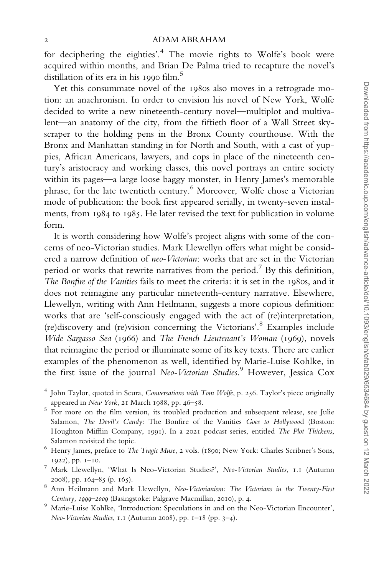for deciphering the eighties'.<sup>4</sup> The movie rights to Wolfe's book were acquired within months, and Brian De Palma tried to recapture the novel's distillation of its era in his 1990 film.<sup>5</sup>

Yet this consummate novel of the 1980s also moves in a retrograde motion: an anachronism. In order to envision his novel of New York, Wolfe decided to write a new nineteenth-century novel—multiplot and multivalent—an anatomy of the city, from the fiftieth floor of a Wall Street skyscraper to the holding pens in the Bronx County courthouse. With the Bronx and Manhattan standing in for North and South, with a cast of yuppies, African Americans, lawyers, and cops in place of the nineteenth century's aristocracy and working classes, this novel portrays an entire society within its pages—a large loose baggy monster, in Henry James's memorable phrase, for the late twentieth century.<sup>6</sup> Moreover, Wolfe chose a Victorian mode of publication: the book first appeared serially, in twenty-seven instalments, from 1984 to 1985. He later revised the text for publication in volume form.

It is worth considering how Wolfe's project aligns with some of the concerns of neo-Victorian studies. Mark Llewellyn offers what might be considered a narrow definition of neo-Victorian: works that are set in the Victorian period or works that rewrite narratives from the period.<sup>7</sup> By this definition, The Bonfire of the Vanities fails to meet the criteria: it is set in the 1980s, and it does not reimagine any particular nineteenth-century narrative. Elsewhere, Llewellyn, writing with Ann Heilmann, suggests a more copious definition: works that are 'self-consciously engaged with the act of (re)interpretation, (re)discovery and (re)vision concerning the Victorians'.<sup>8</sup> Examples include Wide Sargasso Sea (1966) and The French Lieutenant's Woman (1969), novels that reimagine the period or illuminate some of its key texts. There are earlier examples of the phenomenon as well, identified by Marie-Luise Kohlke, in the first issue of the journal Neo-Victorian Studies.<sup>9</sup> However, Jessica Cox

<sup>4</sup> John Taylor, quoted in Scura, Conversations with Tom Wolfe, p. 256. Taylor's piece originally appeared in New York, 21 March 1988, pp. 46–58.<br><sup>5</sup> For more on the film version, its troubled production and subsequent release, see Julie

Salamon, The Devil's Candy: The Bonfire of the Vanities Goes to Hollywood (Boston: Houghton Mifflin Company, 1991). In a 2021 podcast series, entitled The Plot Thickens,

- Salamon revisited the topic. 6 Henry James, preface to The Tragic Muse, 2 vols. (1890; New York: Charles Scribner's Sons,
- 1922), pp. 1–10.<br>7 Mark Llewellyn, 'What Is Neo-Victorian Studies?', Neo-Victorian Studies, 1.1 (Autumn
- 2008), pp. 164–85 (p. 165).<br><sup>8</sup> Ann Heilmann and Mark Llewellyn, *Neo-Victorianism: The Victorians in the Twenty-First*
- Century, <sup>1999</sup>–<sup>2009</sup> (Basingstoke: Palgrave Macmillan, <sup>2010</sup>), p. <sup>4</sup>. <sup>9</sup> Marie-Luise Kohlke, 'Introduction: Speculations in and on the Neo-Victorian Encounter', Neo-Victorian Studies, 1.1 (Autumn 2008), pp. 1–18 (pp. 3–4).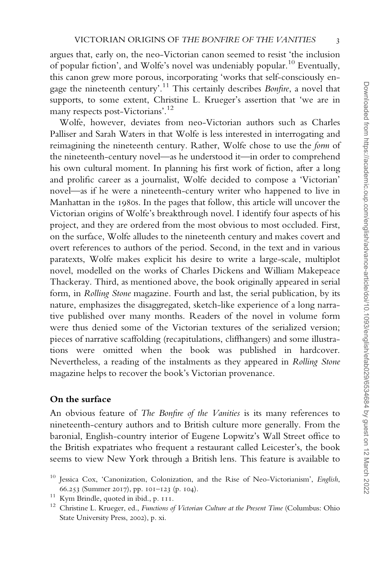argues that, early on, the neo-Victorian canon seemed to resist 'the inclusion of popular fiction', and Wolfe's novel was undeniably popular.<sup>10</sup> Eventually, this canon grew more porous, incorporating 'works that self-consciously engage the nineteenth century'.<sup>11</sup> This certainly describes *Bonfire*, a novel that supports, to some extent, Christine L. Krueger's assertion that 'we are in many respects post-Victorians'.<sup>12</sup>

Wolfe, however, deviates from neo-Victorian authors such as Charles Palliser and Sarah Waters in that Wolfe is less interested in interrogating and reimagining the nineteenth century. Rather, Wolfe chose to use the form of the nineteenth-century novel—as he understood it—in order to comprehend his own cultural moment. In planning his first work of fiction, after a long and prolific career as a journalist, Wolfe decided to compose a 'Victorian' novel—as if he were a nineteenth-century writer who happened to live in Manhattan in the 1980s. In the pages that follow, this article will uncover the Victorian origins of Wolfe's breakthrough novel. I identify four aspects of his project, and they are ordered from the most obvious to most occluded. First, on the surface, Wolfe alludes to the nineteenth century and makes covert and overt references to authors of the period. Second, in the text and in various paratexts, Wolfe makes explicit his desire to write a large-scale, multiplot novel, modelled on the works of Charles Dickens and William Makepeace Thackeray. Third, as mentioned above, the book originally appeared in serial form, in Rolling Stone magazine. Fourth and last, the serial publication, by its nature, emphasizes the disaggregated, sketch-like experience of a long narrative published over many months. Readers of the novel in volume form were thus denied some of the Victorian textures of the serialized version; pieces of narrative scaffolding (recapitulations, cliffhangers) and some illustrations were omitted when the book was published in hardcover. Nevertheless, a reading of the instalments as they appeared in Rolling Stone magazine helps to recover the book's Victorian provenance.

## On the surface

An obvious feature of The Bonfire of the Vanities is its many references to nineteenth-century authors and to British culture more generally. From the baronial, English-country interior of Eugene Lopwitz's Wall Street office to the British expatriates who frequent a restaurant called Leicester's, the book seems to view New York through a British lens. This feature is available to

<sup>&</sup>lt;sup>10</sup> Jessica Cox, 'Canonization, Colonization, and the Rise of Neo-Victorianism', English,

<sup>66.253 (</sup>Summer 2017), pp. 101–123 (p. 104).<br><sup>11</sup> Kym Brindle, quoted in ibid., p. 111.<br><sup>12</sup> Christine L. Krueger, ed., *Functions of Victorian Culture at the Present Time* (Columbus: Ohio State University Press, 2002), p. xi.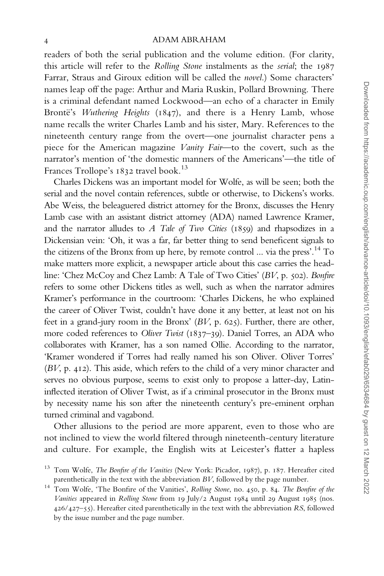readers of both the serial publication and the volume edition. (For clarity, this article will refer to the Rolling Stone instalments as the serial; the 1987 Farrar, Straus and Giroux edition will be called the novel.) Some characters' names leap off the page: Arthur and Maria Ruskin, Pollard Browning. There is a criminal defendant named Lockwood—an echo of a character in Emily Brontë's Wuthering Heights (1847), and there is a Henry Lamb, whose name recalls the writer Charles Lamb and his sister, Mary. References to the nineteenth century range from the overt—one journalist character pens a piece for the American magazine Vanity Fair—to the covert, such as the narrator's mention of 'the domestic manners of the Americans'—the title of Frances Trollope's 1832 travel book.<sup>13</sup>

Charles Dickens was an important model for Wolfe, as will be seen; both the serial and the novel contain references, subtle or otherwise, to Dickens's works. Abe Weiss, the beleaguered district attorney for the Bronx, discusses the Henry Lamb case with an assistant district attorney (ADA) named Lawrence Kramer, and the narrator alludes to  $A$  Tale of Two Cities (1859) and rhapsodizes in a Dickensian vein: 'Oh, it was a far, far better thing to send beneficent signals to the citizens of the Bronx from up here, by remote control ... via the press'.<sup>14</sup> To make matters more explicit, a newspaper article about this case carries the headline: 'Chez McCoy and Chez Lamb: A Tale of Two Cities' (BV, p. 502). Bonfire refers to some other Dickens titles as well, such as when the narrator admires Kramer's performance in the courtroom: 'Charles Dickens, he who explained the career of Oliver Twist, couldn't have done it any better, at least not on his feet in a grand-jury room in the Bronx' (BV, p. 625). Further, there are other, more coded references to Oliver Twist (1837–39). Daniel Torres, an ADA who collaborates with Kramer, has a son named Ollie. According to the narrator, 'Kramer wondered if Torres had really named his son Oliver. Oliver Torres' (BV, p. 412). This aside, which refers to the child of a very minor character and serves no obvious purpose, seems to exist only to propose a latter-day, Latininflected iteration of Oliver Twist, as if a criminal prosecutor in the Bronx must by necessity name his son after the nineteenth century's pre-eminent orphan turned criminal and vagabond.

Other allusions to the period are more apparent, even to those who are not inclined to view the world filtered through nineteenth-century literature and culture. For example, the English wits at Leicester's flatter a hapless

<sup>&</sup>lt;sup>13</sup> Tom Wolfe, *The Bonfire of the Vanities* (New York: Picador, 1987), p. 187. Hereafter cited

parenthetically in the text with the abbreviation *BV*, followed by the page number.<br><sup>14</sup> Tom Wolfe, 'The Bonfire of the Vanities', *Rolling Stone*, no. 450, p. 84. *The Bonfire of the* Vanities appeared in Rolling Stone from 19 July/2 August 1984 until 29 August 1985 (nos. 426/427–55). Hereafter cited parenthetically in the text with the abbreviation RS, followed by the issue number and the page number.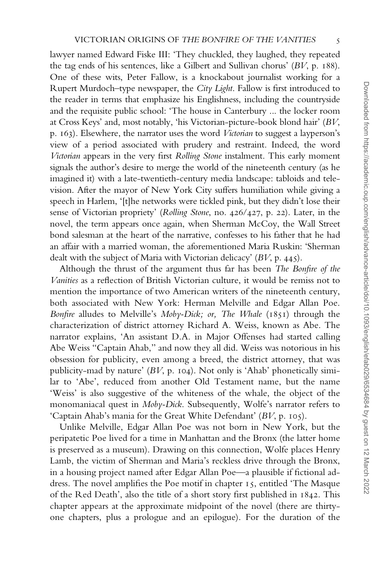lawyer named Edward Fiske III: 'They chuckled, they laughed, they repeated the tag ends of his sentences, like a Gilbert and Sullivan chorus' (BV, p. 188). One of these wits, Peter Fallow, is a knockabout journalist working for a Rupert Murdoch–type newspaper, the City Light. Fallow is first introduced to the reader in terms that emphasize his Englishness, including the countryside and the requisite public school: 'The house in Canterbury ... the locker room at Cross Keys' and, most notably, 'his Victorian-picture-book blond hair' (BV, p. 163). Elsewhere, the narrator uses the word Victorian to suggest a layperson's view of a period associated with prudery and restraint. Indeed, the word Victorian appears in the very first Rolling Stone instalment. This early moment signals the author's desire to merge the world of the nineteenth century (as he imagined it) with a late-twentieth-century media landscape: tabloids and television. After the mayor of New York City suffers humiliation while giving a speech in Harlem, '[t]he networks were tickled pink, but they didn't lose their sense of Victorian propriety' (Rolling Stone, no. 426/427, p. 22). Later, in the novel, the term appears once again, when Sherman McCoy, the Wall Street bond salesman at the heart of the narrative, confesses to his father that he had an affair with a married woman, the aforementioned Maria Ruskin: 'Sherman dealt with the subject of Maria with Victorian delicacy' (BV, p. 445).

Although the thrust of the argument thus far has been The Bonfire of the Vanities as a reflection of British Victorian culture, it would be remiss not to mention the importance of two American writers of the nineteenth century, both associated with New York: Herman Melville and Edgar Allan Poe. Bonfire alludes to Melville's Moby-Dick; or, The Whale (1851) through the characterization of district attorney Richard A. Weiss, known as Abe. The narrator explains, 'An assistant D.A. in Major Offenses had started calling Abe Weiss "Captain Ahab," and now they all did. Weiss was notorious in his obsession for publicity, even among a breed, the district attorney, that was publicity-mad by nature' (BV, p. 104). Not only is 'Ahab' phonetically similar to 'Abe', reduced from another Old Testament name, but the name 'Weiss' is also suggestive of the whiteness of the whale, the object of the monomaniacal quest in Moby-Dick. Subsequently, Wolfe's narrator refers to 'Captain Ahab's mania for the Great White Defendant' (BV, p. 105).

Unlike Melville, Edgar Allan Poe was not born in New York, but the peripatetic Poe lived for a time in Manhattan and the Bronx (the latter home is preserved as a museum). Drawing on this connection, Wolfe places Henry Lamb, the victim of Sherman and Maria's reckless drive through the Bronx, in a housing project named after Edgar Allan Poe—a plausible if fictional address. The novel amplifies the Poe motif in chapter 15, entitled 'The Masque of the Red Death', also the title of a short story first published in 1842. This chapter appears at the approximate midpoint of the novel (there are thirtyone chapters, plus a prologue and an epilogue). For the duration of the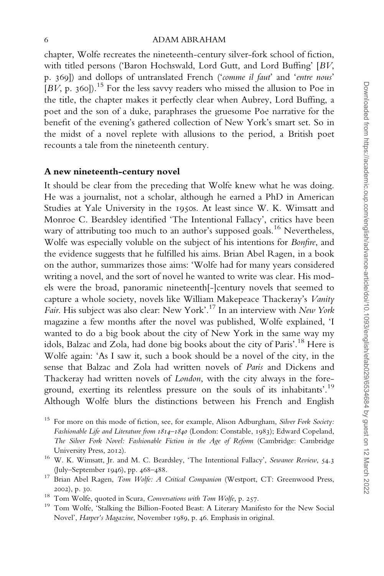chapter, Wolfe recreates the nineteenth-century silver-fork school of fiction, with titled persons ('Baron Hochswald, Lord Gutt, and Lord Buffing' [BV, p. 369]) and dollops of untranslated French ('comme il faut' and 'entre nous'  $[BV, p. 360]$ <sup>15</sup>. For the less savvy readers who missed the allusion to Poe in the title, the chapter makes it perfectly clear when Aubrey, Lord Buffing, a poet and the son of a duke, paraphrases the gruesome Poe narrative for the benefit of the evening's gathered collection of New York's smart set. So in the midst of a novel replete with allusions to the period, a British poet recounts a tale from the nineteenth century.

## A new nineteenth-century novel

It should be clear from the preceding that Wolfe knew what he was doing. He was a journalist, not a scholar, although he earned a PhD in American Studies at Yale University in the 1950s. At least since W. K. Wimsatt and Monroe C. Beardsley identified 'The Intentional Fallacy', critics have been wary of attributing too much to an author's supposed goals.<sup>16</sup> Nevertheless, Wolfe was especially voluble on the subject of his intentions for Bonfire, and the evidence suggests that he fulfilled his aims. Brian Abel Ragen, in a book on the author, summarizes those aims: 'Wolfe had for many years considered writing a novel, and the sort of novel he wanted to write was clear. His models were the broad, panoramic nineteenth[-]century novels that seemed to capture a whole society, novels like William Makepeace Thackeray's Vanity Fair. His subject was also clear: New York'.<sup>17</sup> In an interview with New York magazine a few months after the novel was published, Wolfe explained, 'I wanted to do a big book about the city of New York in the same way my idols, Balzac and Zola, had done big books about the city of Paris'.<sup>18</sup> Here is Wolfe again: 'As I saw it, such a book should be a novel of the city, in the sense that Balzac and Zola had written novels of Paris and Dickens and Thackeray had written novels of London, with the city always in the foreground, exerting its relentless pressure on the souls of its inhabitants'.<sup>19</sup> Although Wolfe blurs the distinctions between his French and English

<sup>&</sup>lt;sup>15</sup> For more on this mode of fiction, see, for example, Alison Adburgham, Silver Fork Society: Fashionable Life and Literature from 1814–1840 (London: Constable, 1983); Edward Copeland, The Silver Fork Novel: Fashionable Fiction in the Age of Reform (Cambridge: Cambridge

University Press, 2012). <br><sup>16</sup> W. K. Wimsatt, Jr. and M. C. Beardsley, 'The Intentional Fallacy', *Sewanee Review*, 54.3 (July–September <sup>1946</sup>), pp. <sup>468</sup>–488. <sup>17</sup> Brian Abel Ragen, Tom Wolfe: A Critical Companion (Westport, CT: Greenwood Press,

<sup>2002),</sup> p. 30. 18<br>18 Tom Wolfe, quoted in Scura, *Conversations with Tom Wolfe*, p. 257. 19 Tom Wolfe, 'Stalking the Billion-Footed Beast: A Literary Manifesto for the New Social Novel', Harper's Magazine, November 1989, p. 46. Emphasis in original.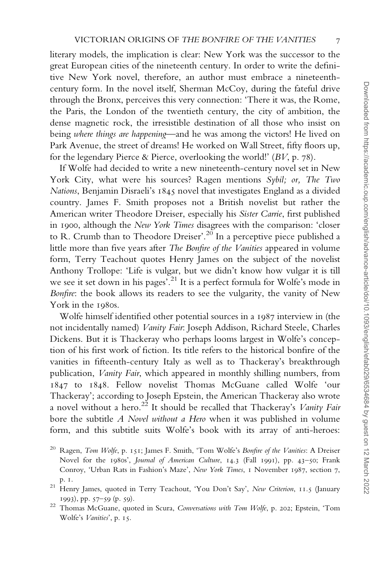literary models, the implication is clear: New York was the successor to the great European cities of the nineteenth century. In order to write the definitive New York novel, therefore, an author must embrace a nineteenthcentury form. In the novel itself, Sherman McCoy, during the fateful drive through the Bronx, perceives this very connection: 'There it was, the Rome, the Paris, the London of the twentieth century, the city of ambition, the dense magnetic rock, the irresistible destination of all those who insist on being where things are happening—and he was among the victors! He lived on Park Avenue, the street of dreams! He worked on Wall Street, fifty floors up, for the legendary Pierce & Pierce, overlooking the world!'  $(BV, p. 78)$ .

If Wolfe had decided to write a new nineteenth-century novel set in New York City, what were his sources? Ragen mentions Sybil; or, The Two Nations, Benjamin Disraeli's 1845 novel that investigates England as a divided country. James F. Smith proposes not a British novelist but rather the American writer Theodore Dreiser, especially his Sister Carrie, first published in 1900, although the New York Times disagrees with the comparison: 'closer to R. Crumb than to Theodore Dreiser'.<sup>20</sup> In a perceptive piece published a little more than five years after The Bonfire of the Vanities appeared in volume form, Terry Teachout quotes Henry James on the subject of the novelist Anthony Trollope: 'Life is vulgar, but we didn't know how vulgar it is till we see it set down in his pages'.<sup>21</sup> It is a perfect formula for Wolfe's mode in Bonfire: the book allows its readers to see the vulgarity, the vanity of New York in the 1980s.

Wolfe himself identified other potential sources in a 1987 interview in (the not incidentally named) Vanity Fair: Joseph Addison, Richard Steele, Charles Dickens. But it is Thackeray who perhaps looms largest in Wolfe's conception of his first work of fiction. Its title refers to the historical bonfire of the vanities in fifteenth-century Italy as well as to Thackeray's breakthrough publication, Vanity Fair, which appeared in monthly shilling numbers, from 1847 to 1848. Fellow novelist Thomas McGuane called Wolfe 'our Thackeray'; according to Joseph Epstein, the American Thackeray also wrote a novel without a hero.<sup>22</sup> It should be recalled that Thackeray's *Vanity Fair* bore the subtitle A Novel without a Hero when it was published in volume form, and this subtitle suits Wolfe's book with its array of anti-heroes:

- <sup>20</sup> Ragen, *Tom Wolfe*, p. 151; James F. Smith, 'Tom Wolfe's *Bonfire of the Vanities*: A Dreiser Novel for the 1980s', Journal of American Culture, 14.3 (Fall 1991), pp. 43–50; Frank Conroy, 'Urban Rats in Fashion's Maze', New York Times, 1 November 1987, section 7,
- p. <sup>1</sup>. <sup>21</sup> Henry James, quoted in Terry Teachout, 'You Don't Say', New Criterion, <sup>11</sup>.<sup>5</sup> (January
- <sup>1993</sup>), pp. <sup>57</sup>–<sup>59</sup> (p. <sup>59</sup>). <sup>22</sup> Thomas McGuane, quoted in Scura, Conversations with Tom Wolfe, p. <sup>202</sup>; Epstein, 'Tom Wolfe's Vanities', p. 15.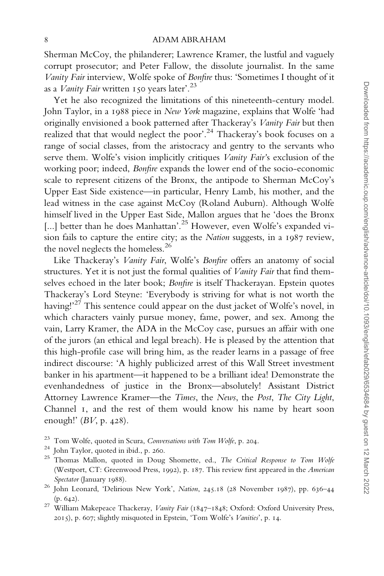Sherman McCoy, the philanderer; Lawrence Kramer, the lustful and vaguely corrupt prosecutor; and Peter Fallow, the dissolute journalist. In the same Vanity Fair interview, Wolfe spoke of Bonfire thus: 'Sometimes I thought of it as a *Vanity Fair* written 150 years later'.<sup>23</sup>

Yet he also recognized the limitations of this nineteenth-century model. John Taylor, in a 1988 piece in New York magazine, explains that Wolfe 'had originally envisioned a book patterned after Thackeray's Vanity Fair but then realized that that would neglect the poor'.<sup>24</sup> Thackeray's book focuses on a range of social classes, from the aristocracy and gentry to the servants who serve them. Wolfe's vision implicitly critiques Vanity Fair's exclusion of the working poor; indeed, Bonfire expands the lower end of the socio-economic scale to represent citizens of the Bronx, the antipode to Sherman McCoy's Upper East Side existence—in particular, Henry Lamb, his mother, and the lead witness in the case against McCoy (Roland Auburn). Although Wolfe himself lived in the Upper East Side, Mallon argues that he 'does the Bronx [...] better than he does Manhattan'.<sup>25</sup> However, even Wolfe's expanded vision fails to capture the entire city; as the Nation suggests, in a 1987 review, the novel neglects the homeless.<sup>26</sup>

Like Thackeray's Vanity Fair, Wolfe's Bonfire offers an anatomy of social structures. Yet it is not just the formal qualities of Vanity Fair that find themselves echoed in the later book; Bonfire is itself Thackerayan. Epstein quotes Thackeray's Lord Steyne: 'Everybody is striving for what is not worth the having!<sup>27</sup> This sentence could appear on the dust jacket of Wolfe's novel, in which characters vainly pursue money, fame, power, and sex. Among the vain, Larry Kramer, the ADA in the McCoy case, pursues an affair with one of the jurors (an ethical and legal breach). He is pleased by the attention that this high-profile case will bring him, as the reader learns in a passage of free indirect discourse: 'A highly publicized arrest of this Wall Street investment banker in his apartment—it happened to be a brilliant idea! Demonstrate the evenhandedness of justice in the Bronx—absolutely! Assistant District Attorney Lawrence Kramer—the Times, the News, the Post, The City Light, Channel 1, and the rest of them would know his name by heart soon enough!'  $(BV, p. 428)$ .

- 
- 
- <sup>23</sup> Tom Wolfe, quoted in Scura, *Conversations with Tom Wolfe*, p. 204.<br><sup>24</sup> John Taylor, quoted in ibid., p. 260.<br><sup>25</sup> Thomas Mallon, quoted in Doug Shomette, ed., *The Critical Response to Tom Wolfe* (Westport, CT: Greenwood Press, 1992), p. 187. This review first appeared in the American Spectator (January 1988). 26 John Leonard, 'Delirious New York', *Nation*, 245.18 (28 November 1987), pp. 636–44
- 
- (p. <sup>642</sup>). <sup>27</sup> William Makepeace Thackeray, Vanity Fair (1847–1848; Oxford: Oxford University Press, 2015), p. 607; slightly misquoted in Epstein, 'Tom Wolfe's Vanities', p. 14.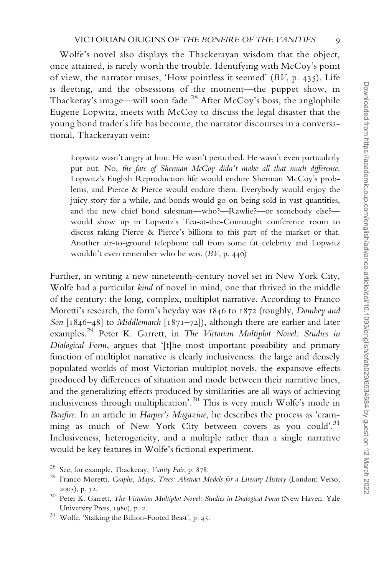Wolfe's novel also displays the Thackerayan wisdom that the object, once attained, is rarely worth the trouble. Identifying with McCoy's point of view, the narrator muses, 'How pointless it seemed' (BV, p. 435). Life is fleeting, and the obsessions of the moment—the puppet show, in Thackeray's image—will soon fade.<sup>28</sup> After McCoy's boss, the anglophile Eugene Lopwitz, meets with McCoy to discuss the legal disaster that the young bond trader's life has become, the narrator discourses in a conversational, Thackerayan vein:

Lopwitz wasn't angry at him. He wasn't perturbed. He wasn't even particularly put out. No, the fate of Sherman McCoy didn't make all that much difference. Lopwitz's English Reproduction life would endure Sherman McCoy's problems, and Pierce & Pierce would endure them. Everybody would enjoy the juicy story for a while, and bonds would go on being sold in vast quantities, and the new chief bond salesman—who?—Rawlie?—or somebody else? would show up in Lopwitz's Tea-at-the-Connaught conference room to discuss raking Pierce & Pierce's billions to this part of the market or that. Another air-to-ground telephone call from some fat celebrity and Lopwitz wouldn't even remember who he was. (BV, p. 440)

Further, in writing a new nineteenth-century novel set in New York City, Wolfe had a particular kind of novel in mind, one that thrived in the middle of the century: the long, complex, multiplot narrative. According to Franco Moretti's research, the form's heyday was 1846 to 1872 (roughly, Dombey and Son  $[1846-48]$  to Middlemarch  $[1871-72]$ , although there are earlier and later examples.<sup>29</sup> Peter K. Garrett, in The Victorian Multiplot Novel: Studies in Dialogical Form, argues that '[t]he most important possibility and primary function of multiplot narrative is clearly inclusiveness: the large and densely populated worlds of most Victorian multiplot novels, the expansive effects produced by differences of situation and mode between their narrative lines, and the generalizing effects produced by similarities are all ways of achieving inclusiveness through multiplication'.<sup>30</sup> This is very much Wolfe's mode in Bonfire. In an article in Harper's Magazine, he describes the process as 'cramming as much of New York City between covers as you could'.<sup>31</sup> Inclusiveness, heterogeneity, and a multiple rather than a single narrative would be key features in Wolfe's fictional experiment.

<sup>&</sup>lt;sup>28</sup> See, for example, Thackeray, *Vanity Fair*, p. 878.<br><sup>29</sup> Franco Moretti, *Graphs, Maps, Trees: Abstract Models for a Literary History (London: Verso,* 

<sup>2005),</sup> p. 32.  $30\,$  Peter K. Garrett, *The Victorian Multiplot Novel: Studies in Dialogical Form* (New Haven: Yale University Press, 1980), p. 2.<br><sup>31</sup> Wolfe, 'Stalking the Billion-Footed Beast', p. 45.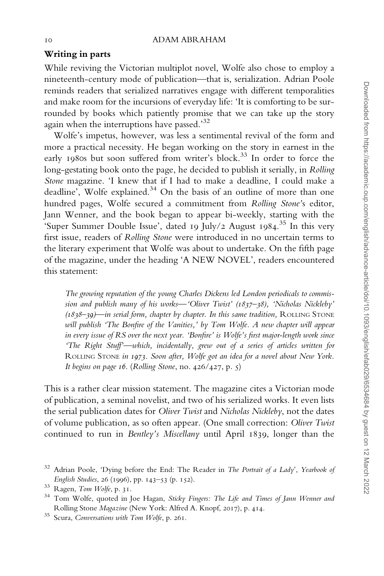## Writing in parts

While reviving the Victorian multiplot novel, Wolfe also chose to employ a nineteenth-century mode of publication—that is, serialization. Adrian Poole reminds readers that serialized narratives engage with different temporalities and make room for the incursions of everyday life: 'It is comforting to be surrounded by books which patiently promise that we can take up the story again when the interruptions have passed.'32

Wolfe's impetus, however, was less a sentimental revival of the form and more a practical necessity. He began working on the story in earnest in the early 1980s but soon suffered from writer's block.<sup>33</sup> In order to force the long-gestating book onto the page, he decided to publish it serially, in Rolling Stone magazine. 'I knew that if I had to make a deadline, I could make a deadline', Wolfe explained.<sup>34</sup> On the basis of an outline of more than one hundred pages, Wolfe secured a commitment from Rolling Stone's editor, Jann Wenner, and the book began to appear bi-weekly, starting with the 'Super Summer Double Issue', dated 19 July/2 August 1984. <sup>35</sup> In this very first issue, readers of Rolling Stone were introduced in no uncertain terms to the literary experiment that Wolfe was about to undertake. On the fifth page of the magazine, under the heading 'A NEW NOVEL', readers encountered this statement:

The growing reputation of the young Charles Dickens led London periodicals to commission and publish many of his works—'Oliver Twist' (1837–38), 'Nicholas Nickleby'  $(1838-39)$ —in serial form, chapter by chapter. In this same tradition, ROLLING STONE will publish 'The Bonfire of the Vanities,' by Tom Wolfe. A new chapter will appear in every issue of RS over the next year. 'Bonfire' is Wolfe's first major-length work since 'The Right Stuff'—which, incidentally, grew out of a series of articles written for ROLLING STONE in 1973. Soon after, Wolfe got an idea for a novel about New York. It begins on page 16. (Rolling Stone, no.  $426/427$ , p. 5)

This is a rather clear mission statement. The magazine cites a Victorian mode of publication, a seminal novelist, and two of his serialized works. It even lists the serial publication dates for Oliver Twist and Nicholas Nickleby, not the dates of volume publication, as so often appear. (One small correction: Oliver Twist continued to run in Bentley's Miscellany until April 1839, longer than the

 $32$  Adrian Poole, 'Dying before the End: The Reader in The Portrait of a Lady', Yearbook of English Studies, 26 (1996), pp. 143–53 (p. 152).<br><sup>33</sup> Ragen, *Tom Wolfe*, p. 31.<br><sup>34</sup> Tom Wolfe, quoted in Joe Hagan, *Sticky Fingers: The Life and Times of Jann Wenner and* 

Rolling Stone Magazine (New York: Alfred A. Knopf, <sup>2017</sup>), p. <sup>414</sup>. <sup>35</sup> Scura, Conversations with Tom Wolfe, p. <sup>261</sup>.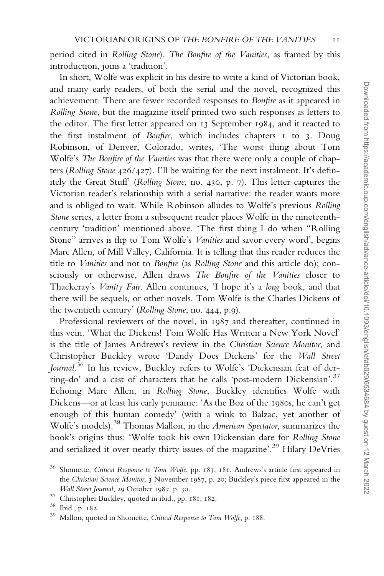period cited in Rolling Stone). The Bonfire of the Vanities, as framed by this introduction, joins a 'tradition'.

In short, Wolfe was explicit in his desire to write a kind of Victorian book, and many early readers, of both the serial and the novel, recognized this achievement. There are fewer recorded responses to Bonfire as it appeared in Rolling Stone, but the magazine itself printed two such responses as letters to the editor. The first letter appeared on 13 September 1984, and it reacted to the first instalment of Bonfire, which includes chapters 1 to 3. Doug Robinson, of Denver, Colorado, writes, 'The worst thing about Tom Wolfe's The Bonfire of the Vanities was that there were only a couple of chapters (Rolling Stone 426/427). I'll be waiting for the next instalment. It's definitely the Great Stuff' (Rolling Stone, no. 430, p. 7). This letter captures the Victorian reader's relationship with a serial narrative: the reader wants more and is obliged to wait. While Robinson alludes to Wolfe's previous Rolling Stone series, a letter from a subsequent reader places Wolfe in the nineteenthcentury 'tradition' mentioned above. 'The first thing I do when "Rolling Stone" arrives is flip to Tom Wolfe's *Vanities* and savor every word', begins Marc Allen, of Mill Valley, California. It is telling that this reader reduces the title to Vanities and not to Bonfire (as Rolling Stone and this article do); consciously or otherwise, Allen draws The Bonfire of the Vanities closer to Thackeray's Vanity Fair. Allen continues, 'I hope it's a long book, and that there will be sequels, or other novels. Tom Wolfe is the Charles Dickens of the twentieth century' (Rolling Stone, no. 444, p.9).

Professional reviewers of the novel, in 1987 and thereafter, continued in this vein. 'What the Dickens! Tom Wolfe Has Written a New York Novel' is the title of James Andrews's review in the Christian Science Monitor, and Christopher Buckley wrote 'Dandy Does Dickens' for the Wall Street Journal.<sup>36</sup> In his review, Buckley refers to Wolfe's 'Dickensian feat of derring-do' and a cast of characters that he calls 'post-modern Dickensian'.<sup>37</sup> Echoing Marc Allen, in Rolling Stone, Buckley identifies Wolfe with Dickens—or at least his early penname: 'As the Boz of the 1980s, he can't get enough of this human comedy' (with a wink to Balzac, yet another of Wolfe's models).<sup>38</sup> Thomas Mallon, in the American Spectator, summarizes the book's origins thus: 'Wolfe took his own Dickensian dare for Rolling Stone and serialized it over nearly thirty issues of the magazine'.<sup>39</sup> Hilary DeVries

<sup>&</sup>lt;sup>36</sup> Shomette, Critical Response to Tom Wolfe, pp. 183, 181. Andrews's article first appeared in the Christian Science Monitor, 3 November 1987, p. 20; Buckley's piece first appeared in the

Wall Street Journal, 29 October 1987, p. 30.<br><sup>37</sup> Christopher Buckley, quoted in ibid., pp. 181, 182.<br><sup>38</sup> Ibid., p. 182.<br><sup>39</sup> Mallon, quoted in Shomette, *Critical Response to Tom Wolfe*, p. 188.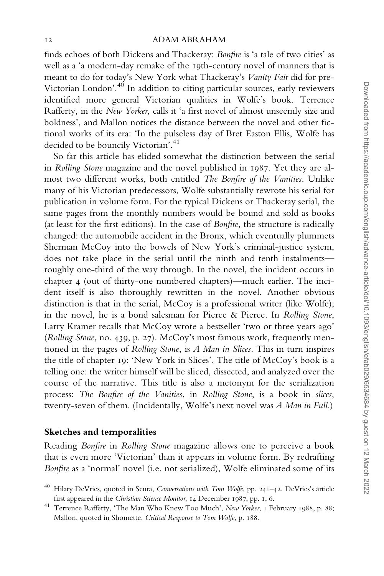finds echoes of both Dickens and Thackeray: Bonfire is 'a tale of two cities' as well as a 'a modern-day remake of the 19th-century novel of manners that is meant to do for today's New York what Thackeray's Vanity Fair did for pre-Victorian London'.<sup>40</sup> In addition to citing particular sources, early reviewers identified more general Victorian qualities in Wolfe's book. Terrence Rafferty, in the New Yorker, calls it 'a first novel of almost unseemly size and boldness', and Mallon notices the distance between the novel and other fictional works of its era: 'In the pulseless day of Bret Easton Ellis, Wolfe has decided to be bouncily Victorian'.<sup>41</sup>

So far this article has elided somewhat the distinction between the serial in Rolling Stone magazine and the novel published in 1987. Yet they are almost two different works, both entitled The Bonfire of the Vanities. Unlike many of his Victorian predecessors, Wolfe substantially rewrote his serial for publication in volume form. For the typical Dickens or Thackeray serial, the same pages from the monthly numbers would be bound and sold as books (at least for the first editions). In the case of Bonfire, the structure is radically changed: the automobile accident in the Bronx, which eventually plummets Sherman McCoy into the bowels of New York's criminal-justice system, does not take place in the serial until the ninth and tenth instalments roughly one-third of the way through. In the novel, the incident occurs in chapter 4 (out of thirty-one numbered chapters)—much earlier. The incident itself is also thoroughly rewritten in the novel. Another obvious distinction is that in the serial, McCoy is a professional writer (like Wolfe); in the novel, he is a bond salesman for Pierce & Pierce. In Rolling Stone, Larry Kramer recalls that McCoy wrote a bestseller 'two or three years ago' (Rolling Stone, no. 439, p. 27). McCoy's most famous work, frequently mentioned in the pages of Rolling Stone, is A Man in Slices. This in turn inspires the title of chapter 19: 'New York in Slices'. The title of McCoy's book is a telling one: the writer himself will be sliced, dissected, and analyzed over the course of the narrative. This title is also a metonym for the serialization process: The Bonfire of the Vanities, in Rolling Stone, is a book in slices, twenty-seven of them. (Incidentally, Wolfe's next novel was A Man in Full.)

## Sketches and temporalities

Reading Bonfire in Rolling Stone magazine allows one to perceive a book that is even more 'Victorian' than it appears in volume form. By redrafting Bonfire as a 'normal' novel (i.e. not serialized), Wolfe eliminated some of its

<sup>&</sup>lt;sup>40</sup> Hilary DeVries, quoted in Scura, Conversations with Tom Wolfe, pp. 241-42. DeVries's article

first appeared in the Christian Science Monitor, <sup>14</sup> December <sup>1987</sup>, pp. <sup>1</sup>, <sup>6</sup>. <sup>41</sup> Terrence Rafferty, 'The Man Who Knew Too Much', New Yorker, <sup>1</sup> February <sup>1988</sup>, p. <sup>88</sup>; Mallon, quoted in Shomette, Critical Response to Tom Wolfe, p. 188.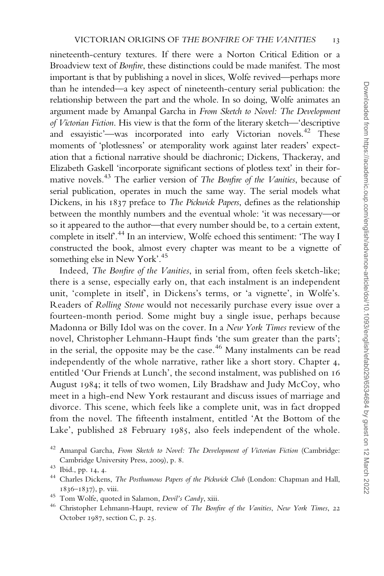nineteenth-century textures. If there were a Norton Critical Edition or a Broadview text of Bonfire, these distinctions could be made manifest. The most important is that by publishing a novel in slices, Wolfe revived—perhaps more than he intended—a key aspect of nineteenth-century serial publication: the relationship between the part and the whole. In so doing, Wolfe animates an argument made by Amanpal Garcha in From Sketch to Novel: The Development of Victorian Fiction. His view is that the form of the literary sketch—'descriptive and essayistic'—was incorporated into early Victorian novels.<sup>42</sup> These moments of 'plotlessness' or atemporality work against later readers' expectation that a fictional narrative should be diachronic; Dickens, Thackeray, and Elizabeth Gaskell 'incorporate significant sections of plotless text' in their formative novels.<sup>43</sup> The earlier version of The Bonfire of the Vanities, because of serial publication, operates in much the same way. The serial models what Dickens, in his 1837 preface to *The Pickwick Papers*, defines as the relationship between the monthly numbers and the eventual whole: 'it was necessary—or so it appeared to the author—that every number should be, to a certain extent, complete in itself'.44 In an interview, Wolfe echoed this sentiment: 'The way I constructed the book, almost every chapter was meant to be a vignette of something else in New York'.<sup>45</sup>

Indeed, The Bonfire of the Vanities, in serial from, often feels sketch-like; there is a sense, especially early on, that each instalment is an independent unit, 'complete in itself', in Dickens's terms, or 'a vignette', in Wolfe's. Readers of Rolling Stone would not necessarily purchase every issue over a fourteen-month period. Some might buy a single issue, perhaps because Madonna or Billy Idol was on the cover. In a New York Times review of the novel, Christopher Lehmann-Haupt finds 'the sum greater than the parts'; in the serial, the opposite may be the case.<sup>46</sup> Many instalments can be read independently of the whole narrative, rather like a short story. Chapter 4, entitled 'Our Friends at Lunch', the second instalment, was published on 16 August 1984; it tells of two women, Lily Bradshaw and Judy McCoy, who meet in a high-end New York restaurant and discuss issues of marriage and divorce. This scene, which feels like a complete unit, was in fact dropped from the novel. The fifteenth instalment, entitled 'At the Bottom of the Lake', published 28 February 1985, also feels independent of the whole.

 $42$  Amanpal Garcha, From Sketch to Novel: The Development of Victorian Fiction (Cambridge: Cambridge University Press, 2009), p. 8.<br>
<sup>43</sup> Ibid., pp. 14, 4.<br>
<sup>44</sup> Charles Dickens, *The Posthumous Papers of the Pickwick Club* (London: Chapman and Hall,

<sup>1836–1837),</sup> p. viii.<br><sup>45</sup> Tom Wolfe, quoted in Salamon, *Devil's Candy*, xiii.<br><sup>46</sup> Christopher Lehmann-Haupt, review of *The Bonfire of the Vanities, New York Times*, 22

October 1987, section C, p. 25.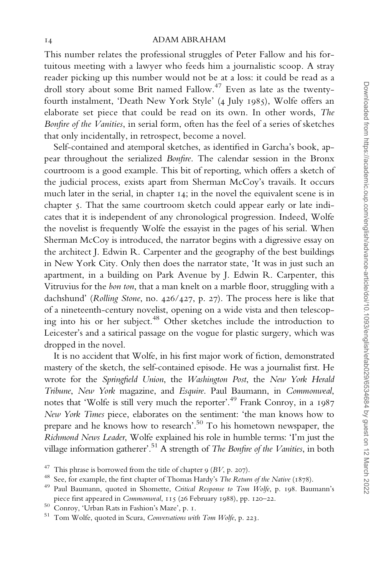This number relates the professional struggles of Peter Fallow and his fortuitous meeting with a lawyer who feeds him a journalistic scoop. A stray reader picking up this number would not be at a loss: it could be read as a droll story about some Brit named Fallow.<sup>47</sup> Even as late as the twentyfourth instalment, 'Death New York Style' (4 July 1985), Wolfe offers an elaborate set piece that could be read on its own. In other words, The Bonfire of the Vanities, in serial form, often has the feel of a series of sketches that only incidentally, in retrospect, become a novel.

Self-contained and atemporal sketches, as identified in Garcha's book, appear throughout the serialized Bonfire. The calendar session in the Bronx courtroom is a good example. This bit of reporting, which offers a sketch of the judicial process, exists apart from Sherman McCoy's travails. It occurs much later in the serial, in chapter 14; in the novel the equivalent scene is in chapter 5. That the same courtroom sketch could appear early or late indicates that it is independent of any chronological progression. Indeed, Wolfe the novelist is frequently Wolfe the essayist in the pages of his serial. When Sherman McCoy is introduced, the narrator begins with a digressive essay on the architect J. Edwin R. Carpenter and the geography of the best buildings in New York City. Only then does the narrator state, 'It was in just such an apartment, in a building on Park Avenue by J. Edwin R. Carpenter, this Vitruvius for the bon ton, that a man knelt on a marble floor, struggling with a dachshund' (Rolling Stone, no. 426/427, p. 27). The process here is like that of a nineteenth-century novelist, opening on a wide vista and then telescoping into his or her subject.<sup>48</sup> Other sketches include the introduction to Leicester's and a satirical passage on the vogue for plastic surgery, which was dropped in the novel.

It is no accident that Wolfe, in his first major work of fiction, demonstrated mastery of the sketch, the self-contained episode. He was a journalist first. He wrote for the Springfield Union, the Washington Post, the New York Herald Tribune, New York magazine, and Esquire. Paul Baumann, in Commonweal, notes that 'Wolfe is still very much the reporter'.49 Frank Conroy, in a 1987 New York Times piece, elaborates on the sentiment: 'the man knows how to prepare and he knows how to research'.50 To his hometown newspaper, the Richmond News Leader, Wolfe explained his role in humble terms: 'I'm just the village information gatherer'.<sup>51</sup> A strength of *The Bonfire of the Vanities*, in both

<sup>&</sup>lt;sup>47</sup> This phrase is borrowed from the title of chapter 9 (BV, p. 207).<br><sup>48</sup> See, for example, the first chapter of Thomas Hardy's *The Return of the Native* (1878).<br><sup>49</sup> Paul Baumann, quoted in Shomette, *Critical Response* piece first appeared in *Commonweal*, 115 (26 February 1988), pp. 120–22.<br><sup>50</sup> Conroy, 'Urban Rats in Fashion's Maze', p. 1.<br><sup>51</sup> Tom Wolfe, quoted in Scura, *Conversations with Tom Wolfe*, p. 223.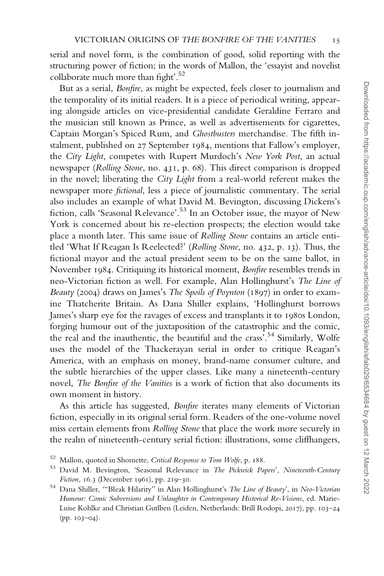serial and novel form, is the combination of good, solid reporting with the structuring power of fiction; in the words of Mallon, the 'essayist and novelist collaborate much more than fight'.<sup>52</sup>

But as a serial, Bonfire, as might be expected, feels closer to journalism and the temporality of its initial readers. It is a piece of periodical writing, appearing alongside articles on vice-presidential candidate Geraldine Ferraro and the musician still known as Prince, as well as advertisements for cigarettes, Captain Morgan's Spiced Rum, and Ghostbusters merchandise. The fifth instalment, published on 27 September 1984, mentions that Fallow's employer, the City Light, competes with Rupert Murdoch's New York Post, an actual newspaper (Rolling Stone, no. 431, p. 68). This direct comparison is dropped in the novel; liberating the City Light from a real-world referent makes the newspaper more fictional, less a piece of journalistic commentary. The serial also includes an example of what David M. Bevington, discussing Dickens's fiction, calls 'Seasonal Relevance'.<sup>53</sup> In an October issue, the mayor of New York is concerned about his re-election prospects; the election would take place a month later. This same issue of Rolling Stone contains an article entitled 'What If Reagan Is Reelected?' (Rolling Stone, no. 432, p. 13). Thus, the fictional mayor and the actual president seem to be on the same ballot, in November 1984. Critiquing its historical moment, Bonfire resembles trends in neo-Victorian fiction as well. For example, Alan Hollinghurst's The Line of Beauty (2004) draws on James's The Spoils of Poynton (1897) in order to examine Thatcherite Britain. As Dana Shiller explains, 'Hollinghurst borrows James's sharp eye for the ravages of excess and transplants it to 1980s London, forging humour out of the juxtaposition of the catastrophic and the comic, the real and the inauthentic, the beautiful and the crass'.<sup>54</sup> Similarly, Wolfe uses the model of the Thackerayan serial in order to critique Reagan's America, with an emphasis on money, brand-name consumer culture, and the subtle hierarchies of the upper classes. Like many a nineteenth-century novel, The Bonfire of the Vanities is a work of fiction that also documents its own moment in history.

As this article has suggested, Bonfire iterates many elements of Victorian fiction, especially in its original serial form. Readers of the one-volume novel miss certain elements from Rolling Stone that place the work more securely in the realm of nineteenth-century serial fiction: illustrations, some cliffhangers,

 $52$  Mallon, quoted in Shomette, *Critical Response to Tom Wolfe*, p. 188.<br> $53$  David M. Bevington, 'Seasonal Relevance in *The Pickwick Papers'*, *Nineteenth-Century* Fiction, 16.3 (December 1961), pp. 219–30.<br><sup>54</sup> Dana Shiller, "Bleak Hilarity" in Alan Hollinghurst's *The Line of Beauty*', in Neo-Victorian

Humour: Comic Subversions and Unlaughter in Contemporary Historical Re-Visions, ed. Marie-Luise Kohlke and Christian Gutlben (Leiden, Netherlands: Brill Rodopi, 2017), pp. 103–24 (pp. 103–04).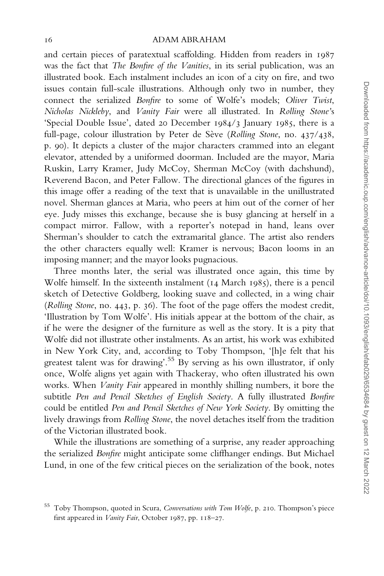and certain pieces of paratextual scaffolding. Hidden from readers in 1987 was the fact that The Bonfire of the Vanities, in its serial publication, was an illustrated book. Each instalment includes an icon of a city on fire, and two issues contain full-scale illustrations. Although only two in number, they connect the serialized Bonfire to some of Wolfe's models; Oliver Twist, Nicholas Nickleby, and Vanity Fair were all illustrated. In Rolling Stone's 'Special Double Issue', dated 20 December 1984/3 January 1985, there is a full-page, colour illustration by Peter de Sève (Rolling Stone, no. 437/438, p. 90). It depicts a cluster of the major characters crammed into an elegant elevator, attended by a uniformed doorman. Included are the mayor, Maria Ruskin, Larry Kramer, Judy McCoy, Sherman McCoy (with dachshund), Reverend Bacon, and Peter Fallow. The directional glances of the figures in this image offer a reading of the text that is unavailable in the unillustrated novel. Sherman glances at Maria, who peers at him out of the corner of her eye. Judy misses this exchange, because she is busy glancing at herself in a compact mirror. Fallow, with a reporter's notepad in hand, leans over Sherman's shoulder to catch the extramarital glance. The artist also renders the other characters equally well: Kramer is nervous; Bacon looms in an imposing manner; and the mayor looks pugnacious.

Three months later, the serial was illustrated once again, this time by Wolfe himself. In the sixteenth instalment (14 March 1985), there is a pencil sketch of Detective Goldberg, looking suave and collected, in a wing chair (Rolling Stone, no. 443, p. 36). The foot of the page offers the modest credit, 'Illustration by Tom Wolfe'. His initials appear at the bottom of the chair, as if he were the designer of the furniture as well as the story. It is a pity that Wolfe did not illustrate other instalments. As an artist, his work was exhibited in New York City, and, according to Toby Thompson, '[h]e felt that his greatest talent was for drawing'.<sup>55</sup> By serving as his own illustrator, if only once, Wolfe aligns yet again with Thackeray, who often illustrated his own works. When Vanity Fair appeared in monthly shilling numbers, it bore the subtitle Pen and Pencil Sketches of English Society. A fully illustrated Bonfire could be entitled Pen and Pencil Sketches of New York Society. By omitting the lively drawings from Rolling Stone, the novel detaches itself from the tradition of the Victorian illustrated book.

While the illustrations are something of a surprise, any reader approaching the serialized Bonfire might anticipate some cliffhanger endings. But Michael Lund, in one of the few critical pieces on the serialization of the book, notes

<sup>55</sup> Toby Thompson, quoted in Scura, Conversations with Tom Wolfe, p. 210. Thompson's piece first appeared in Vanity Fair, October 1987, pp. 118-27.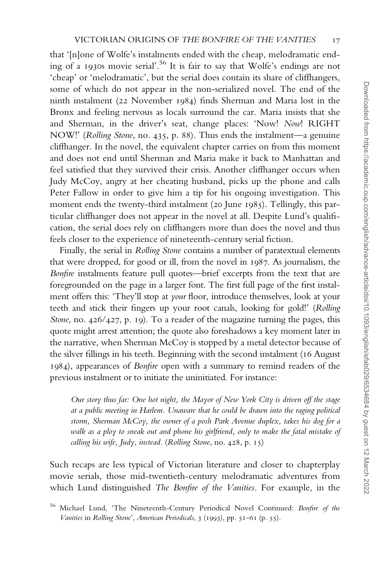that '[n]one of Wolfe's instalments ended with the cheap, melodramatic ending of a 1930s movie serial'.<sup>56</sup> It is fair to say that Wolfe's endings are not 'cheap' or 'melodramatic', but the serial does contain its share of cliffhangers, some of which do not appear in the non-serialized novel. The end of the ninth instalment (22 November 1984) finds Sherman and Maria lost in the Bronx and feeling nervous as locals surround the car. Maria insists that she and Sherman, in the driver's seat, change places: 'Now! Now! RIGHT NOW!' (Rolling Stone, no. 435, p. 88). Thus ends the instalment—a genuine cliffhanger. In the novel, the equivalent chapter carries on from this moment and does not end until Sherman and Maria make it back to Manhattan and feel satisfied that they survived their crisis. Another cliffhanger occurs when Judy McCoy, angry at her cheating husband, picks up the phone and calls Peter Fallow in order to give him a tip for his ongoing investigation. This moment ends the twenty-third instalment (20 June 1985). Tellingly, this particular cliffhanger does not appear in the novel at all. Despite Lund's qualification, the serial does rely on cliffhangers more than does the novel and thus feels closer to the experience of nineteenth-century serial fiction.

Finally, the serial in Rolling Stone contains a number of paratextual elements that were dropped, for good or ill, from the novel in 1987. As journalism, the Bonfire instalments feature pull quotes—brief excerpts from the text that are foregrounded on the page in a larger font. The first full page of the first instalment offers this: 'They'll stop at your floor, introduce themselves, look at your teeth and stick their fingers up your root canals, looking for gold!' (Rolling Stone, no. 426/427, p. 19). To a reader of the magazine turning the pages, this quote might arrest attention; the quote also foreshadows a key moment later in the narrative, when Sherman McCoy is stopped by a metal detector because of the silver fillings in his teeth. Beginning with the second instalment (16 August 1984), appearances of Bonfire open with a summary to remind readers of the previous instalment or to initiate the uninitiated. For instance:

Our story thus far: One hot night, the Mayor of New York City is driven off the stage at a public meeting in Harlem. Unaware that he could be drawn into the raging political storm, Sherman McCoy, the owner of a posh Park Avenue duplex, takes his dog for a walk as a ploy to sneak out and phone his girlfriend, only to make the fatal mistake of calling his wife, Judy, instead. (Rolling Stone, no. 428, p. 15)

Such recaps are less typical of Victorian literature and closer to chapterplay movie serials, those mid-twentieth-century melodramatic adventures from which Lund distinguished The Bonfire of the Vanities. For example, in the

<sup>56</sup> Michael Lund, 'The Nineteenth-Century Periodical Novel Continued: Bonfire of the Vanities in Rolling Stone', American Periodicals, 3 (1993), pp. 51–61 (p. 55).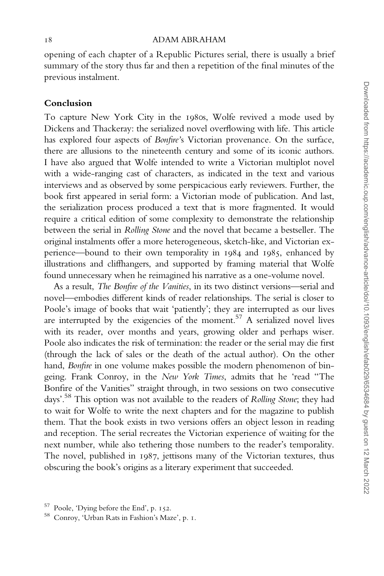opening of each chapter of a Republic Pictures serial, there is usually a brief summary of the story thus far and then a repetition of the final minutes of the previous instalment.

## Conclusion

To capture New York City in the 1980s, Wolfe revived a mode used by Dickens and Thackeray: the serialized novel overflowing with life. This article has explored four aspects of Bonfire's Victorian provenance. On the surface, there are allusions to the nineteenth century and some of its iconic authors. I have also argued that Wolfe intended to write a Victorian multiplot novel with a wide-ranging cast of characters, as indicated in the text and various interviews and as observed by some perspicacious early reviewers. Further, the book first appeared in serial form: a Victorian mode of publication. And last, the serialization process produced a text that is more fragmented. It would require a critical edition of some complexity to demonstrate the relationship between the serial in Rolling Stone and the novel that became a bestseller. The original instalments offer a more heterogeneous, sketch-like, and Victorian experience—bound to their own temporality in 1984 and 1985, enhanced by illustrations and cliffhangers, and supported by framing material that Wolfe found unnecessary when he reimagined his narrative as a one-volume novel.

As a result, The Bonfire of the Vanities, in its two distinct versions—serial and novel—embodies different kinds of reader relationships. The serial is closer to Poole's image of books that wait 'patiently'; they are interrupted as our lives are interrupted by the exigencies of the moment.<sup>57</sup> A serialized novel lives with its reader, over months and years, growing older and perhaps wiser. Poole also indicates the risk of termination: the reader or the serial may die first (through the lack of sales or the death of the actual author). On the other hand, Bonfire in one volume makes possible the modern phenomenon of bingeing. Frank Conroy, in the New York Times, admits that he 'read "The Bonfire of the Vanities" straight through, in two sessions on two consecutive days'.<sup>58</sup> This option was not available to the readers of Rolling Stone; they had to wait for Wolfe to write the next chapters and for the magazine to publish them. That the book exists in two versions offers an object lesson in reading and reception. The serial recreates the Victorian experience of waiting for the next number, while also tethering those numbers to the reader's temporality. The novel, published in 1987, jettisons many of the Victorian textures, thus obscuring the book's origins as a literary experiment that succeeded.

<sup>&</sup>lt;sup>57</sup> Poole, 'Dying before the End', p. 152.<br><sup>58</sup> Conroy, 'Urban Rats in Fashion's Maze', p. 1.